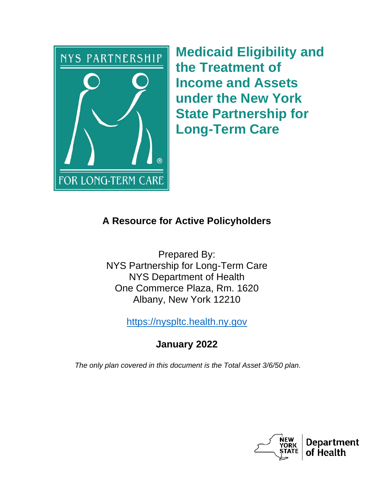

**Medicaid Eligibility and the Treatment of Income and Assets under the New York State Partnership for Long-Term Care**

## **A Resource for Active Policyholders**

Prepared By: NYS Partnership for Long-Term Care NYS Department of Health One Commerce Plaza, Rm. 1620 Albany, New York 12210

[https://nyspltc.health.ny.gov](https://nyspltc.health.ny.gov/)

# **January 2022**

*The only plan covered in this document is the Total Asset 3/6/50 plan.*

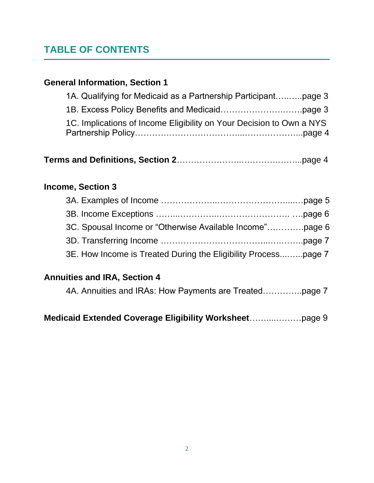# **TABLE OF CONTENTS**

## **General Information, Section 1**

| 1A. Qualifying for Medicaid as a Partnership Participantpage 3       |  |
|----------------------------------------------------------------------|--|
|                                                                      |  |
| 1C. Implications of Income Eligibility on Your Decision to Own a NYS |  |
|                                                                      |  |

|--|--|--|

### **Income, Section 3**

| 3E. How Income is Treated During the Eligibility Processpage 7 |  |
|----------------------------------------------------------------|--|

## **Annuities and IRA, Section 4**

4A. Annuities and IRAs: How Payments are Treated…………..page 7

**Medicaid Extended Coverage Eligibility Worksheet**……....………page 9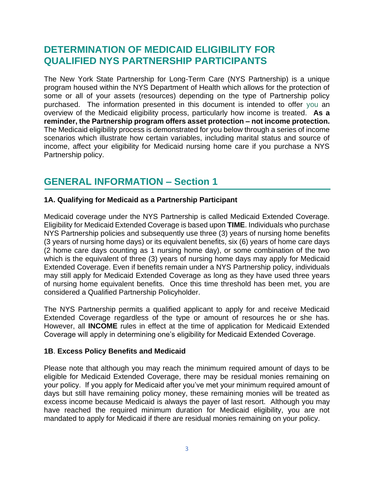## **DETERMINATION OF MEDICAID ELIGIBILITY FOR QUALIFIED NYS PARTNERSHIP PARTICIPANTS**

The New York State Partnership for Long-Term Care (NYS Partnership) is a unique program housed within the NYS Department of Health which allows for the protection of some or all of your assets (resources) depending on the type of Partnership policy purchased. The information presented in this document is intended to offer you an overview of the Medicaid eligibility process, particularly how income is treated. **As a reminder, the Partnership program offers asset protection – not income protection.** The Medicaid eligibility process is demonstrated for you below through a series of income scenarios which illustrate how certain variables, including marital status and source of income, affect your eligibility for Medicaid nursing home care if you purchase a NYS Partnership policy.

## **GENERAL INFORMATION – Section 1**

#### **1A. Qualifying for Medicaid as a Partnership Participant**

Medicaid coverage under the NYS Partnership is called Medicaid Extended Coverage. Eligibility for Medicaid Extended Coverage is based upon **TIME**. Individuals who purchase NYS Partnership policies and subsequently use three (3) years of nursing home benefits (3 years of nursing home days) or its equivalent benefits, six (6) years of home care days (2 home care days counting as 1 nursing home day), or some combination of the two which is the equivalent of three (3) years of nursing home days may apply for Medicaid Extended Coverage. Even if benefits remain under a NYS Partnership policy, individuals may still apply for Medicaid Extended Coverage as long as they have used three years of nursing home equivalent benefits. Once this time threshold has been met, you are considered a Qualified Partnership Policyholder.

The NYS Partnership permits a qualified applicant to apply for and receive Medicaid Extended Coverage regardless of the type or amount of resources he or she has. However, all **INCOME** rules in effect at the time of application for Medicaid Extended Coverage will apply in determining one's eligibility for Medicaid Extended Coverage.

#### **1B**. **Excess Policy Benefits and Medicaid**

Please note that although you may reach the minimum required amount of days to be eligible for Medicaid Extended Coverage, there may be residual monies remaining on your policy. If you apply for Medicaid after you've met your minimum required amount of days but still have remaining policy money, these remaining monies will be treated as excess income because Medicaid is always the payer of last resort. Although you may have reached the required minimum duration for Medicaid eligibility, you are not mandated to apply for Medicaid if there are residual monies remaining on your policy.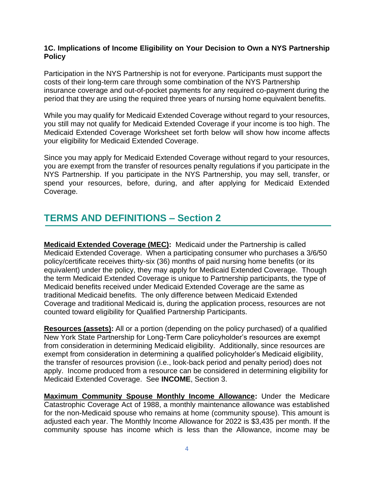#### **1C. Implications of Income Eligibility on Your Decision to Own a NYS Partnership Policy**

Participation in the NYS Partnership is not for everyone. Participants must support the costs of their long-term care through some combination of the NYS Partnership insurance coverage and out-of-pocket payments for any required co-payment during the period that they are using the required three years of nursing home equivalent benefits.

While you may qualify for Medicaid Extended Coverage without regard to your resources, you still may not qualify for Medicaid Extended Coverage if your income is too high. The Medicaid Extended Coverage Worksheet set forth below will show how income affects your eligibility for Medicaid Extended Coverage.

Since you may apply for Medicaid Extended Coverage without regard to your resources, you are exempt from the transfer of resources penalty regulations if you participate in the NYS Partnership. If you participate in the NYS Partnership, you may sell, transfer, or spend your resources, before, during, and after applying for Medicaid Extended Coverage.

## **TERMS AND DEFINITIONS – Section 2**

**Medicaid Extended Coverage (MEC):** Medicaid under the Partnership is called Medicaid Extended Coverage. When a participating consumer who purchases a 3/6/50 policy/certificate receives thirty-six (36) months of paid nursing home benefits (or its equivalent) under the policy, they may apply for Medicaid Extended Coverage. Though the term Medicaid Extended Coverage is unique to Partnership participants, the type of Medicaid benefits received under Medicaid Extended Coverage are the same as traditional Medicaid benefits. The only difference between Medicaid Extended Coverage and traditional Medicaid is, during the application process, resources are not counted toward eligibility for Qualified Partnership Participants.

**Resources (assets):** All or a portion (depending on the policy purchased) of a qualified New York State Partnership for Long-Term Care policyholder's resources are exempt from consideration in determining Medicaid eligibility. Additionally, since resources are exempt from consideration in determining a qualified policyholder's Medicaid eligibility, the transfer of resources provision (i.e., look-back period and penalty period) does not apply. Income produced from a resource can be considered in determining eligibility for Medicaid Extended Coverage. See **INCOME**, Section 3.

**Maximum Community Spouse Monthly Income Allowance:** Under the Medicare Catastrophic Coverage Act of 1988, a monthly maintenance allowance was established for the non-Medicaid spouse who remains at home (community spouse). This amount is adjusted each year. The Monthly Income Allowance for 2022 is \$3,435 per month. If the community spouse has income which is less than the Allowance, income may be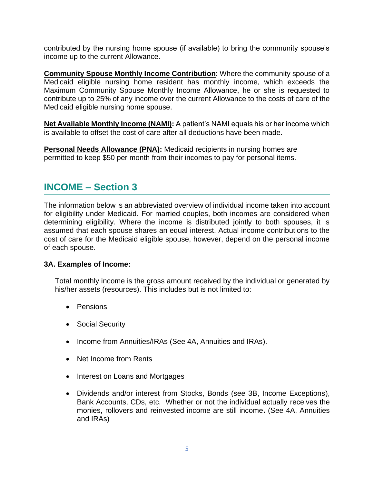contributed by the nursing home spouse (if available) to bring the community spouse's income up to the current Allowance.

**Community Spouse Monthly Income Contribution**: Where the community spouse of a Medicaid eligible nursing home resident has monthly income, which exceeds the Maximum Community Spouse Monthly Income Allowance, he or she is requested to contribute up to 25% of any income over the current Allowance to the costs of care of the Medicaid eligible nursing home spouse.

**Net Available Monthly Income (NAMI):** A patient's NAMI equals his or her income which is available to offset the cost of care after all deductions have been made.

**Personal Needs Allowance (PNA):** Medicaid recipients in nursing homes are permitted to keep \$50 per month from their incomes to pay for personal items.

## **INCOME – Section 3**

The information below is an abbreviated overview of individual income taken into account for eligibility under Medicaid. For married couples, both incomes are considered when determining eligibility. Where the income is distributed jointly to both spouses, it is assumed that each spouse shares an equal interest. Actual income contributions to the cost of care for the Medicaid eligible spouse, however, depend on the personal income of each spouse.

#### **3A. Examples of Income:**

Total monthly income is the gross amount received by the individual or generated by his/her assets (resources). This includes but is not limited to:

- Pensions
- Social Security
- Income from Annuities/IRAs (See 4A, Annuities and IRAs).
- Net Income from Rents
- Interest on Loans and Mortgages
- Dividends and/or interest from Stocks, Bonds (see 3B, Income Exceptions), Bank Accounts, CDs, etc. Whether or not the individual actually receives the monies, rollovers and reinvested income are still income**.** (See 4A, Annuities and IRAs)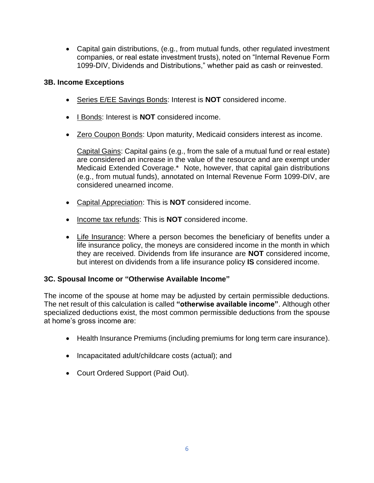• Capital gain distributions, (e.g., from mutual funds, other regulated investment companies, or real estate investment trusts), noted on "Internal Revenue Form 1099-DIV, Dividends and Distributions," whether paid as cash or reinvested.

#### **3B. Income Exceptions**

- Series E/EE Savings Bonds: Interest is **NOT** considered income.
- I Bonds: Interest is **NOT** considered income.
- Zero Coupon Bonds: Upon maturity, Medicaid considers interest as income.

Capital Gains: Capital gains (e.g., from the sale of a mutual fund or real estate) are considered an increase in the value of the resource and are exempt under Medicaid Extended Coverage.\* Note, however, that capital gain distributions (e.g., from mutual funds), annotated on Internal Revenue Form 1099-DIV, are considered unearned income.

- Capital Appreciation: This is **NOT** considered income.
- Income tax refunds: This is **NOT** considered income.
- Life Insurance: Where a person becomes the beneficiary of benefits under a life insurance policy, the moneys are considered income in the month in which they are received. Dividends from life insurance are **NOT** considered income, but interest on dividends from a life insurance policy **IS** considered income.

#### **3C. Spousal Income or "Otherwise Available Income"**

The income of the spouse at home may be adjusted by certain permissible deductions. The net result of this calculation is called **"otherwise available income"**. Although other specialized deductions exist, the most common permissible deductions from the spouse at home's gross income are:

- Health Insurance Premiums (including premiums for long term care insurance).
- Incapacitated adult/childcare costs (actual); and
- Court Ordered Support (Paid Out).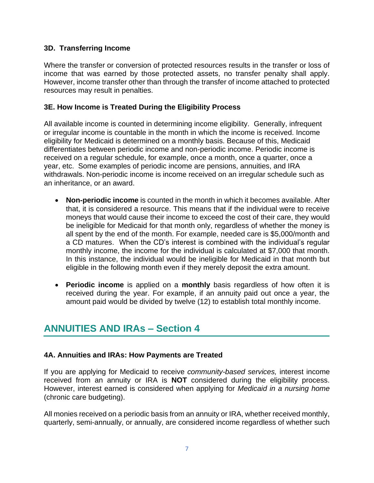#### **3D. Transferring Income**

Where the transfer or conversion of protected resources results in the transfer or loss of income that was earned by those protected assets, no transfer penalty shall apply. However, income transfer other than through the transfer of income attached to protected resources may result in penalties.

#### **3E. How Income is Treated During the Eligibility Process**

All available income is counted in determining income eligibility. Generally, infrequent or irregular income is countable in the month in which the income is received. Income eligibility for Medicaid is determined on a monthly basis. Because of this, Medicaid differentiates between periodic income and non-periodic income. Periodic income is received on a regular schedule, for example, once a month, once a quarter, once a year, etc. Some examples of periodic income are pensions, annuities, and IRA withdrawals. Non-periodic income is income received on an irregular schedule such as an inheritance, or an award.

- **Non-periodic income** is counted in the month in which it becomes available. After that, it is considered a resource. This means that if the individual were to receive moneys that would cause their income to exceed the cost of their care, they would be ineligible for Medicaid for that month only, regardless of whether the money is all spent by the end of the month. For example, needed care is \$5,000/month and a CD matures. When the CD's interest is combined with the individual's regular monthly income, the income for the individual is calculated at \$7,000 that month. In this instance, the individual would be ineligible for Medicaid in that month but eligible in the following month even if they merely deposit the extra amount.
- **Periodic income** is applied on a **monthly** basis regardless of how often it is received during the year. For example, if an annuity paid out once a year, the amount paid would be divided by twelve (12) to establish total monthly income.

## **ANNUITIES AND IRAs – Section 4**

#### **4A. Annuities and IRAs: How Payments are Treated**

If you are applying for Medicaid to receive *community-based services,* interest income received from an annuity or IRA is **NOT** considered during the eligibility process. However, interest earned is considered when applying for *Medicaid in a nursing home* (chronic care budgeting).

All monies received on a periodic basis from an annuity or IRA, whether received monthly, quarterly, semi-annually, or annually, are considered income regardless of whether such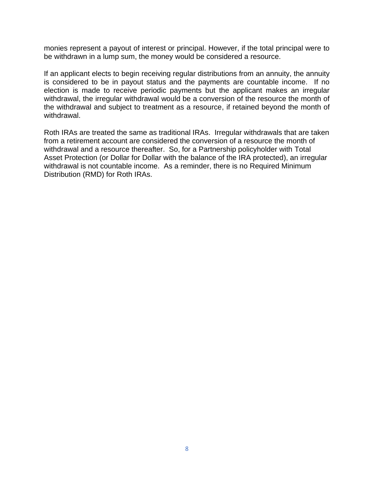monies represent a payout of interest or principal. However, if the total principal were to be withdrawn in a lump sum, the money would be considered a resource.

If an applicant elects to begin receiving regular distributions from an annuity, the annuity is considered to be in payout status and the payments are countable income. If no election is made to receive periodic payments but the applicant makes an irregular withdrawal, the irregular withdrawal would be a conversion of the resource the month of the withdrawal and subject to treatment as a resource, if retained beyond the month of withdrawal.

Roth IRAs are treated the same as traditional IRAs. Irregular withdrawals that are taken from a retirement account are considered the conversion of a resource the month of withdrawal and a resource thereafter. So, for a Partnership policyholder with Total Asset Protection (or Dollar for Dollar with the balance of the IRA protected), an irregular withdrawal is not countable income. As a reminder, there is no Required Minimum Distribution (RMD) for Roth IRAs.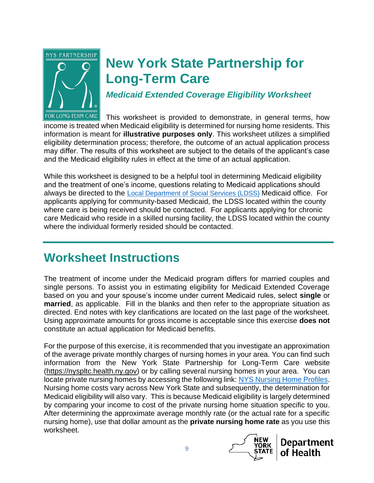

# **New York State Partnership for Long-Term Care**

*Medicaid Extended Coverage Eligibility Worksheet*

FOR LONG-TERM CARE This worksheet is provided to demonstrate, in general terms, how income is treated when Medicaid eligibility is determined for nursing home residents. This information is meant for **illustrative purposes only**. This worksheet utilizes a simplified eligibility determination process; therefore, the outcome of an actual application process may differ. The results of this worksheet are subject to the details of the applicant's case and the Medicaid eligibility rules in effect at the time of an actual application.

While this worksheet is designed to be a helpful tool in determining Medicaid eligibility and the treatment of one's income, questions relating to Medicaid applications should always be directed to the L[ocal Department of Social Services](https://www.health.ny.gov/health_care/medicaid/ldss.htm) [\(LDSS\)](https://www.health.ny.gov/health_care/medicaid/ldss.htm) Medicaid office. For applicants applying for community-based Medicaid, the LDSS located within the county where care is being received should be contacted. For applicants applying for chronic care Medicaid who reside in a skilled nursing facility, the LDSS located within the county where the individual formerly resided should be contacted.

# **Worksheet Instructions**

The treatment of income under the Medicaid program differs for married couples and single persons. To assist you in estimating eligibility for Medicaid Extended Coverage based on you and your spouse's income under current Medicaid rules, select **single** or **married**, as applicable. Fill in the blanks and then refer to the appropriate situation as directed. End notes with key clarifications are located on the last page of the worksheet. Using approximate amounts for gross income is acceptable since this exercise **does not** constitute an actual application for Medicaid benefits.

For the purpose of this exercise, it is recommended that you investigate an approximation of the average private monthly charges of nursing homes in your area. You can find such information from the New York State Partnership for Long-Term Care website [\(https://nyspltc.health.ny.gov\)](https://nyspltc.health.ny.gov/) or by calling several nursing homes in your area. You can locate private nursing homes by accessing the following link: [NYS Nursing Home Profiles.](https://profiles.health.ny.gov/nursing_home/%235.79/42.868/-76.809) Nursing home costs vary across New York State and subsequently, the determination for Medicaid eligibility will also vary. This is because Medicaid eligibility is largely determined by comparing your income to cost of the private nursing home situation specific to you. After determining the approximate average monthly rate (or the actual rate for a specific nursing home), use that dollar amount as the **private nursing home rate** as you use this worksheet.



**Department** of Health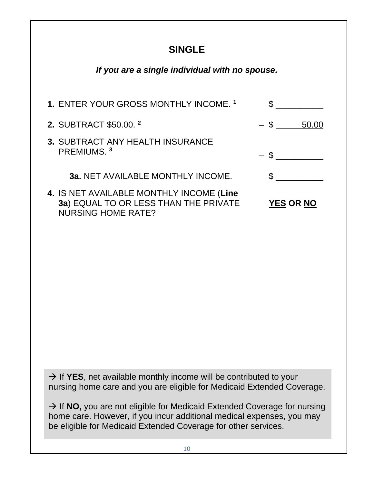## **SINGLE**

## *If you are a single individual with no spouse.*

| 1. ENTER YOUR GROSS MONTHLY INCOME. <sup>1</sup>                                                               |                  |
|----------------------------------------------------------------------------------------------------------------|------------------|
| 2. SUBTRACT \$50.00. <sup>2</sup>                                                                              | $-$ \$ 50.00     |
| 3. SUBTRACT ANY HEALTH INSURANCE<br>PREMIUMS. <sup>3</sup>                                                     | $-$ \$           |
| 3a. NET AVAILABLE MONTHLY INCOME.                                                                              |                  |
| 4. IS NET AVAILABLE MONTHLY INCOME (Line<br>3a) EQUAL TO OR LESS THAN THE PRIVATE<br><b>NURSING HOME RATE?</b> | <b>YES OR NO</b> |

→ If YES, net available monthly income will be contributed to your nursing home care and you are eligible for Medicaid Extended Coverage.

→ If NO, you are not eligible for Medicaid Extended Coverage for nursing home care. However, if you incur additional medical expenses, you may be eligible for Medicaid Extended Coverage for other services.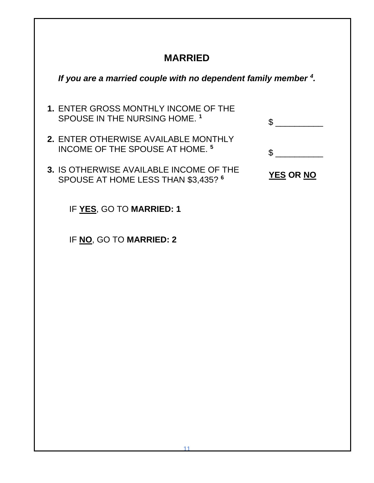# **MARRIED**

| If you are a married couple with no dependent family member $4$ .                         |                  |
|-------------------------------------------------------------------------------------------|------------------|
| 1. ENTER GROSS MONTHLY INCOME OF THE<br>SPOUSE IN THE NURSING HOME. 1                     | S                |
| <b>2. ENTER OTHERWISE AVAILABLE MONTHLY</b><br>INCOME OF THE SPOUSE AT HOME. <sup>5</sup> | \$.              |
| 3. IS OTHERWISE AVAILABLE INCOME OF THE<br>SPOUSE AT HOME LESS THAN \$3,435? 6            | <b>YES OR NO</b> |
| IF YES, GO TO MARRIED: 1                                                                  |                  |
| IF NO, GO TO MARRIED: 2                                                                   |                  |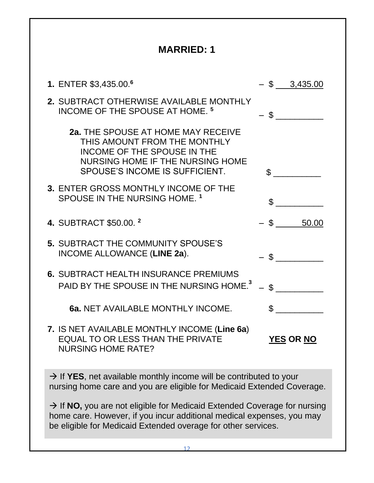| <b>MARRIED: 1</b>                                                                                                                                                                                                              |                  |  |
|--------------------------------------------------------------------------------------------------------------------------------------------------------------------------------------------------------------------------------|------------------|--|
| 1. ENTER \$3,435.00. <sup>6</sup>                                                                                                                                                                                              | $-$ \$ 3,435.00  |  |
| <b>2. SUBTRACT OTHERWISE AVAILABLE MONTHLY</b><br>INCOME OF THE SPOUSE AT HOME. <sup>5</sup>                                                                                                                                   | $-$ \$           |  |
| <b>2a. THE SPOUSE AT HOME MAY RECEIVE</b><br>THIS AMOUNT FROM THE MONTHLY<br><b>INCOME OF THE SPOUSE IN THE</b><br>NURSING HOME IF THE NURSING HOME<br>SPOUSE'S INCOME IS SUFFICIENT.                                          | $\mathbb{S}$     |  |
| 3. ENTER GROSS MONTHLY INCOME OF THE<br>SPOUSE IN THE NURSING HOME. 1                                                                                                                                                          | $\mathfrak{L}$   |  |
| 4. SUBTRACT \$50.00. <sup>2</sup>                                                                                                                                                                                              | $-$ \$ 50.00     |  |
| <b>5. SUBTRACT THE COMMUNITY SPOUSE'S</b><br>INCOME ALLOWANCE (LINE 2a).                                                                                                                                                       | $-$ \$           |  |
| <b>6. SUBTRACT HEALTH INSURANCE PREMIUMS</b><br>PAID BY THE SPOUSE IN THE NURSING HOME. <sup>3</sup>                                                                                                                           |                  |  |
| 6a. NET AVAILABLE MONTHLY INCOME.                                                                                                                                                                                              | \$.              |  |
| 7. IS NET AVAILABLE MONTHLY INCOME (Line 6a)<br><b>EQUAL TO OR LESS THAN THE PRIVATE</b><br><b>NURSING HOME RATE?</b>                                                                                                          | <b>YES OR NO</b> |  |
| $\rightarrow$ If YES, net available monthly income will be contributed to your<br>nursing home care and you are eligible for Medicaid Extended Coverage.                                                                       |                  |  |
| $\rightarrow$ If NO, you are not eligible for Medicaid Extended Coverage for nursing<br>home care. However, if you incur additional medical expenses, you may<br>be eligible for Medicaid Extended overage for other services. |                  |  |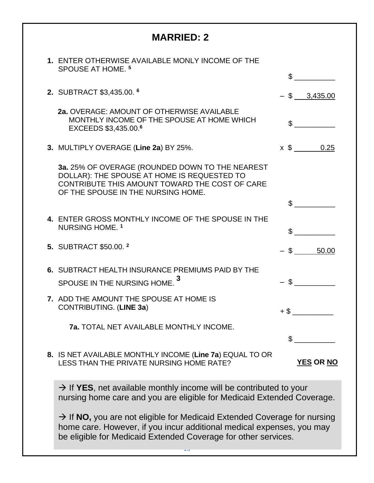| <b>MARRIED: 2</b>                                                                                                                                                                                                               |                  |
|---------------------------------------------------------------------------------------------------------------------------------------------------------------------------------------------------------------------------------|------------------|
| 1. ENTER OTHERWISE AVAILABLE MONLY INCOME OF THE<br>SPOUSE AT HOME. <sup>5</sup>                                                                                                                                                | \$               |
| 2. SUBTRACT \$3,435.00. 6                                                                                                                                                                                                       | $-$ \$ 3,435.00  |
| 2a. OVERAGE: AMOUNT OF OTHERWISE AVAILABLE<br>MONTHLY INCOME OF THE SPOUSE AT HOME WHICH<br>EXCEEDS \$3,435.00.6                                                                                                                |                  |
| 3. MULTIPLY OVERAGE (Line 2a) BY 25%.                                                                                                                                                                                           | $x \,$ \$ 0.25   |
| 3a. 25% OF OVERAGE (ROUNDED DOWN TO THE NEAREST<br>DOLLAR): THE SPOUSE AT HOME IS REQUESTED TO<br>CONTRIBUTE THIS AMOUNT TOWARD THE COST OF CARE<br>OF THE SPOUSE IN THE NURSING HOME.                                          |                  |
| 4. ENTER GROSS MONTHLY INCOME OF THE SPOUSE IN THE                                                                                                                                                                              |                  |
| NURSING HOME. <sup>1</sup>                                                                                                                                                                                                      | \$               |
| 5. SUBTRACT \$50.00. <sup>2</sup>                                                                                                                                                                                               | 50.00<br>$-$ \$  |
| 6. SUBTRACT HEALTH INSURANCE PREMIUMS PAID BY THE                                                                                                                                                                               |                  |
| SPOUSE IN THE NURSING HOME.                                                                                                                                                                                                     | \$               |
| 7. ADD THE AMOUNT THE SPOUSE AT HOME IS<br>CONTRIBUTING. (LINE 3a)                                                                                                                                                              |                  |
| <b>7a. TOTAL NET AVAILABLE MONTHLY INCOME.</b>                                                                                                                                                                                  |                  |
|                                                                                                                                                                                                                                 |                  |
| 8. IS NET AVAILABLE MONTHLY INCOME (Line 7a) EQUAL TO OR<br>LESS THAN THE PRIVATE NURSING HOME RATE?                                                                                                                            | <b>YES OR NO</b> |
| $\rightarrow$ If YES, net available monthly income will be contributed to your<br>nursing home care and you are eligible for Medicaid Extended Coverage.                                                                        |                  |
| $\rightarrow$ If NO, you are not eligible for Medicaid Extended Coverage for nursing<br>home care. However, if you incur additional medical expenses, you may<br>be eligible for Medicaid Extended Coverage for other services. |                  |